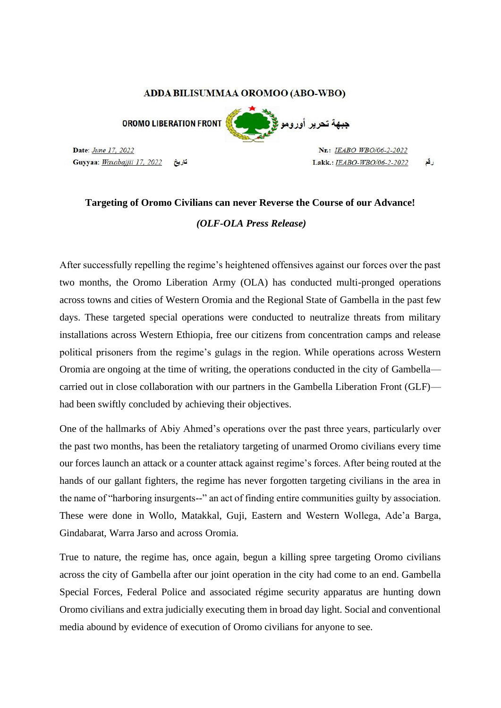## ADDA BILISUMMAA OROMOO (ABO-WBO)

**OROMO LIBERATION FRONT** 

Date: June 17, 2022 Guyyaa: Waxabajjii 17, 2022

Nr.: IEABO WBO/06-2-2022 Lakk.: IEABO-WBO/06-2-2022 رقع

<mark>جبهة تحرير أورومو :</mark>

## **Targeting of Oromo Civilians can never Reverse the Course of our Advance!**  *(OLF-OLA Press Release)*

After successfully repelling the regime's heightened offensives against our forces over the past two months, the Oromo Liberation Army (OLA) has conducted multi-pronged operations across towns and cities of Western Oromia and the Regional State of Gambella in the past few days. These targeted special operations were conducted to neutralize threats from military installations across Western Ethiopia, free our citizens from concentration camps and release political prisoners from the regime's gulags in the region. While operations across Western Oromia are ongoing at the time of writing, the operations conducted in the city of Gambella carried out in close collaboration with our partners in the Gambella Liberation Front (GLF) had been swiftly concluded by achieving their objectives.

One of the hallmarks of Abiy Ahmed's operations over the past three years, particularly over the past two months, has been the retaliatory targeting of unarmed Oromo civilians every time our forces launch an attack or a counter attack against regime's forces. After being routed at the hands of our gallant fighters, the regime has never forgotten targeting civilians in the area in the name of "harboring insurgents--" an act of finding entire communities guilty by association. These were done in Wollo, Matakkal, Guji, Eastern and Western Wollega, Ade'a Barga, Gindabarat, Warra Jarso and across Oromia.

True to nature, the regime has, once again, begun a killing spree targeting Oromo civilians across the city of Gambella after our joint operation in the city had come to an end. Gambella Special Forces, Federal Police and associated régime security apparatus are hunting down Oromo civilians and extra judicially executing them in broad day light. Social and conventional media abound by evidence of execution of Oromo civilians for anyone to see.